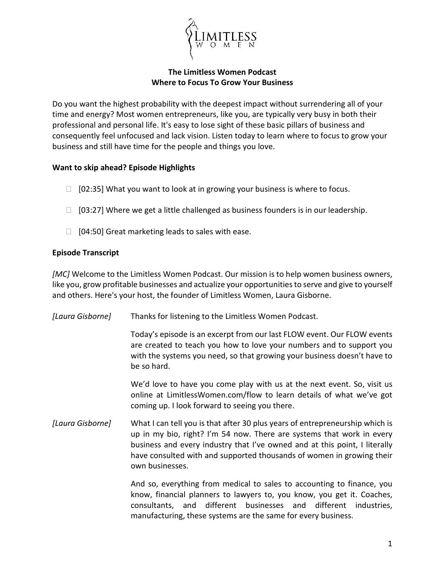

## **The Limitless Women Podcast Where to Focus To Grow Your Business**

Do you want the highest probability with the deepest impact without surrendering all of your time and energy? Most women entrepreneurs, like you, are typically very busy in both their professional and personal life. It's easy to lose sight of these basic pillars of business and consequently feel unfocused and lack vision. Listen today to learn where to focus to grow your business and still have time for the people and things you love.

## **Want to skip ahead? Episode Highlights**

- $\Box$  [02:35] What you want to look at in growing your business is where to focus.
- $\Box$  [03:27] Where we get a little challenged as business founders is in our leadership.
- $\Box$  [04:50] Great marketing leads to sales with ease.

## **Episode Transcript**

*[MC]* Welcome to the Limitless Women Podcast. Our mission is to help women business owners, like you, grow profitable businesses and actualize your opportunities to serve and give to yourself and others. Here's your host, the founder of Limitless Women, Laura Gisborne.

| [Laura Gisborne] | Thanks for listening to the Limitless Women Podcast.                                                                                                                                                                                                                                                                            |
|------------------|---------------------------------------------------------------------------------------------------------------------------------------------------------------------------------------------------------------------------------------------------------------------------------------------------------------------------------|
|                  | Today's episode is an excerpt from our last FLOW event. Our FLOW events<br>are created to teach you how to love your numbers and to support you<br>with the systems you need, so that growing your business doesn't have to<br>be so hard.                                                                                      |
|                  | We'd love to have you come play with us at the next event. So, visit us<br>online at LimitlessWomen.com/flow to learn details of what we've got<br>coming up. I look forward to seeing you there.                                                                                                                               |
| [Laura Gisborne] | What I can tell you is that after 30 plus years of entrepreneurship which is<br>up in my bio, right? I'm 54 now. There are systems that work in every<br>business and every industry that I've owned and at this point, I literally<br>have consulted with and supported thousands of women in growing their<br>own businesses. |
|                  | And so, everything from medical to sales to accounting to finance, you<br>know, financial planners to lawyers to, you know, you get it. Coaches,<br>consultants, and different businesses and different<br>industries,                                                                                                          |

manufacturing, these systems are the same for every business.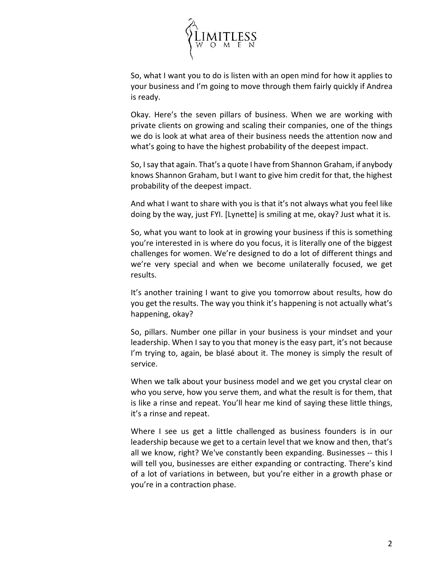

So, what I want you to do is listen with an open mind for how it applies to your business and I'm going to move through them fairly quickly if Andrea is ready.

Okay. Here's the seven pillars of business. When we are working with private clients on growing and scaling their companies, one of the things we do is look at what area of their business needs the attention now and what's going to have the highest probability of the deepest impact.

So, I say that again. That's a quote I have from Shannon Graham, if anybody knows Shannon Graham, but I want to give him credit for that, the highest probability of the deepest impact.

And what I want to share with you is that it's not always what you feel like doing by the way, just FYI. [Lynette] is smiling at me, okay? Just what it is.

So, what you want to look at in growing your business if this is something you're interested in is where do you focus, it is literally one of the biggest challenges for women. We're designed to do a lot of different things and we're very special and when we become unilaterally focused, we get results.

It's another training I want to give you tomorrow about results, how do you get the results. The way you think it's happening is not actually what's happening, okay?

So, pillars. Number one pillar in your business is your mindset and your leadership. When I say to you that money is the easy part, it's not because I'm trying to, again, be blasé about it. The money is simply the result of service.

When we talk about your business model and we get you crystal clear on who you serve, how you serve them, and what the result is for them, that is like a rinse and repeat. You'll hear me kind of saying these little things, it's a rinse and repeat.

Where I see us get a little challenged as business founders is in our leadership because we get to a certain level that we know and then, that's all we know, right? We've constantly been expanding. Businesses -- this I will tell you, businesses are either expanding or contracting. There's kind of a lot of variations in between, but you're either in a growth phase or you're in a contraction phase.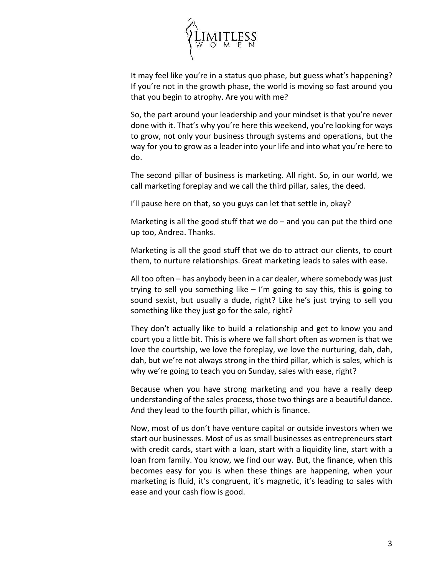

It may feel like you're in a status quo phase, but guess what's happening? If you're not in the growth phase, the world is moving so fast around you that you begin to atrophy. Are you with me?

So, the part around your leadership and your mindset is that you're never done with it. That's why you're here this weekend, you're looking for ways to grow, not only your business through systems and operations, but the way for you to grow as a leader into your life and into what you're here to do.

The second pillar of business is marketing. All right. So, in our world, we call marketing foreplay and we call the third pillar, sales, the deed.

I'll pause here on that, so you guys can let that settle in, okay?

Marketing is all the good stuff that we do  $-$  and you can put the third one up too, Andrea. Thanks.

Marketing is all the good stuff that we do to attract our clients, to court them, to nurture relationships. Great marketing leads to sales with ease.

All too often – has anybody been in a car dealer, where somebody was just trying to sell you something like – I'm going to say this, this is going to sound sexist, but usually a dude, right? Like he's just trying to sell you something like they just go for the sale, right?

They don't actually like to build a relationship and get to know you and court you a little bit. This is where we fall short often as women is that we love the courtship, we love the foreplay, we love the nurturing, dah, dah, dah, but we're not always strong in the third pillar, which is sales, which is why we're going to teach you on Sunday, sales with ease, right?

Because when you have strong marketing and you have a really deep understanding of the sales process, those two things are a beautiful dance. And they lead to the fourth pillar, which is finance.

Now, most of us don't have venture capital or outside investors when we start our businesses. Most of us as small businesses as entrepreneurs start with credit cards, start with a loan, start with a liquidity line, start with a loan from family. You know, we find our way. But, the finance, when this becomes easy for you is when these things are happening, when your marketing is fluid, it's congruent, it's magnetic, it's leading to sales with ease and your cash flow is good.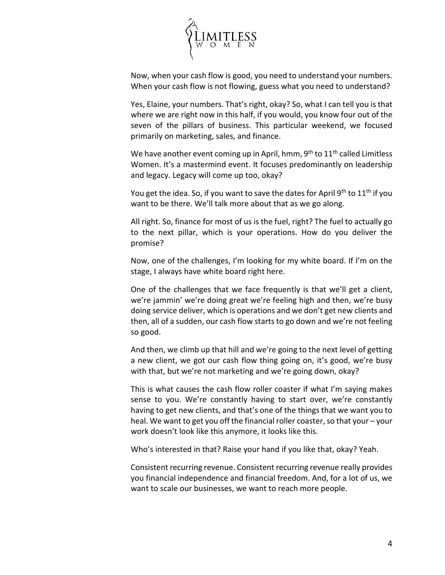

Now, when your cash flow is good, you need to understand your numbers. When your cash flow is not flowing, guess what you need to understand?

Yes, Elaine, your numbers. That's right, okay? So, what I can tell you is that where we are right now in this half, if you would, you know four out of the seven of the pillars of business. This particular weekend, we focused primarily on marketing, sales, and finance.

We have another event coming up in April, hmm,  $9<sup>th</sup>$  to  $11<sup>th</sup>$  called Limitless Women. It's a mastermind event. It focuses predominantly on leadership and legacy. Legacy will come up too, okay?

You get the idea. So, if you want to save the dates for April 9<sup>th</sup> to  $11<sup>th</sup>$  if you want to be there. We'll talk more about that as we go along.

All right. So, finance for most of us is the fuel, right? The fuel to actually go to the next pillar, which is your operations. How do you deliver the promise?

Now, one of the challenges, I'm looking for my white board. If I'm on the stage, I always have white board right here.

One of the challenges that we face frequently is that we'll get a client, we're jammin' we're doing great we're feeling high and then, we're busy doing service deliver, which is operations and we don't get new clients and then, all of a sudden, our cash flow starts to go down and we're not feeling so good.

And then, we climb up that hill and we're going to the next level of getting a new client, we got our cash flow thing going on, it's good, we're busy with that, but we're not marketing and we're going down, okay?

This is what causes the cash flow roller coaster if what I'm saying makes sense to you. We're constantly having to start over, we're constantly having to get new clients, and that's one of the things that we want you to heal. We want to get you off the financial roller coaster, so that your – your work doesn't look like this anymore, it looks like this.

Who's interested in that? Raise your hand if you like that, okay? Yeah.

Consistent recurring revenue. Consistent recurring revenue really provides you financial independence and financial freedom. And, for a lot of us, we want to scale our businesses, we want to reach more people.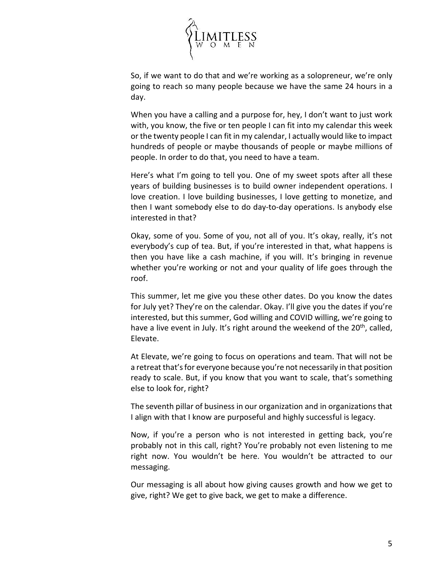

So, if we want to do that and we're working as a solopreneur, we're only going to reach so many people because we have the same 24 hours in a day.

When you have a calling and a purpose for, hey, I don't want to just work with, you know, the five or ten people I can fit into my calendar this week or the twenty people I can fit in my calendar, I actually would like to impact hundreds of people or maybe thousands of people or maybe millions of people. In order to do that, you need to have a team.

Here's what I'm going to tell you. One of my sweet spots after all these years of building businesses is to build owner independent operations. I love creation. I love building businesses, I love getting to monetize, and then I want somebody else to do day-to-day operations. Is anybody else interested in that?

Okay, some of you. Some of you, not all of you. It's okay, really, it's not everybody's cup of tea. But, if you're interested in that, what happens is then you have like a cash machine, if you will. It's bringing in revenue whether you're working or not and your quality of life goes through the roof.

This summer, let me give you these other dates. Do you know the dates for July yet? They're on the calendar. Okay. I'll give you the dates if you're interested, but this summer, God willing and COVID willing, we're going to have a live event in July. It's right around the weekend of the 20<sup>th</sup>, called, Elevate.

At Elevate, we're going to focus on operations and team. That will not be a retreat that's for everyone because you're not necessarily in that position ready to scale. But, if you know that you want to scale, that's something else to look for, right?

The seventh pillar of business in our organization and in organizations that I align with that I know are purposeful and highly successful is legacy.

Now, if you're a person who is not interested in getting back, you're probably not in this call, right? You're probably not even listening to me right now. You wouldn't be here. You wouldn't be attracted to our messaging.

Our messaging is all about how giving causes growth and how we get to give, right? We get to give back, we get to make a difference.